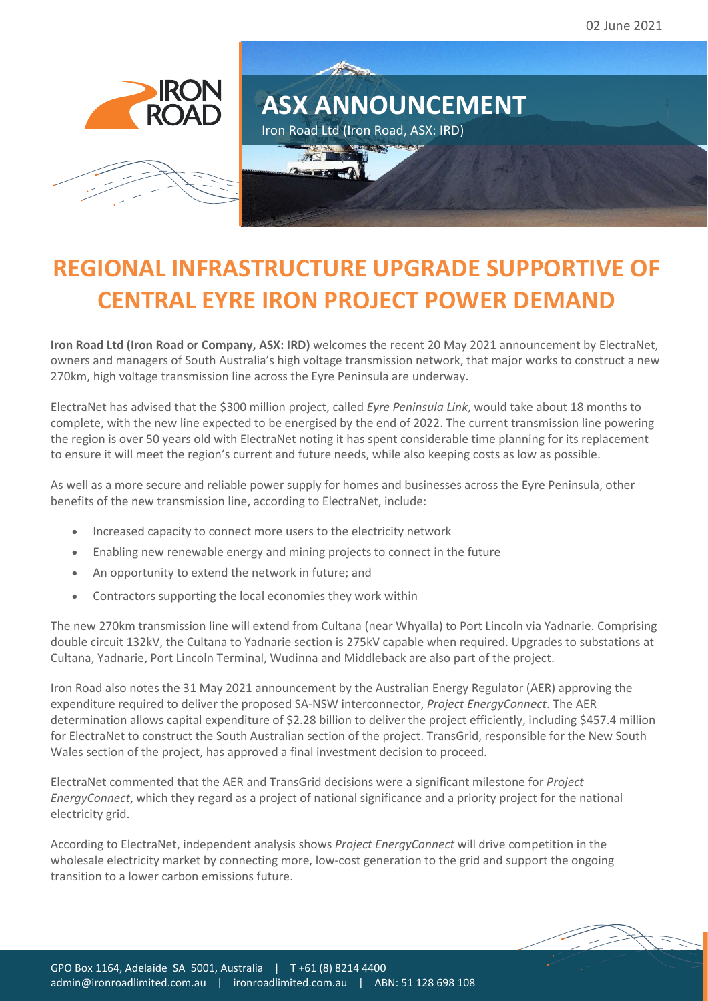





## **REGIONAL INFRASTRUCTURE UPGRADE SUPPORTIVE OF CENTRAL EYRE IRON PROJECT POWER DEMAND**

**Iron Road Ltd (Iron Road or Company, ASX: IRD)** welcomes the recent 20 May 2021 announcement by ElectraNet, owners and managers of South Australia's high voltage transmission network, that major works to construct a new 270km, high voltage transmission line across the Eyre Peninsula are underway.

ElectraNet has advised that the \$300 million project, called *Eyre Peninsula Link*, would take about 18 months to complete, with the new line expected to be energised by the end of 2022. The current transmission line powering the region is over 50 years old with ElectraNet noting it has spent considerable time planning for its replacement to ensure it will meet the region's current and future needs, while also keeping costs as low as possible.

As well as a more secure and reliable power supply for homes and businesses across the Eyre Peninsula, other benefits of the new transmission line, according to ElectraNet, include:

- Increased capacity to connect more users to the electricity network
- Enabling new renewable energy and mining projects to connect in the future
- An opportunity to extend the network in future; and
- Contractors supporting the local economies they work within

The new 270km transmission line will extend from Cultana (near Whyalla) to Port Lincoln via Yadnarie. Comprising double circuit 132kV, the Cultana to Yadnarie section is 275kV capable when required. Upgrades to substations at Cultana, Yadnarie, Port Lincoln Terminal, Wudinna and Middleback are also part of the project.

Iron Road also notes the 31 May 2021 announcement by the Australian Energy Regulator (AER) approving the expenditure required to deliver the proposed SA-NSW interconnector, *Project EnergyConnect*. The AER determination allows capital expenditure of \$2.28 billion to deliver the project efficiently, including \$457.4 million for ElectraNet to construct the South Australian section of the project. TransGrid, responsible for the New South Wales section of the project, has approved a final investment decision to proceed.

ElectraNet commented that the AER and TransGrid decisions were a significant milestone for *Project EnergyConnect*, which they regard as a project of national significance and a priority project for the national electricity grid.

According to ElectraNet, independent analysis shows *Project EnergyConnect* will drive competition in the wholesale electricity market by connecting more, low-cost generation to the grid and support the ongoing transition to a lower carbon emissions future.